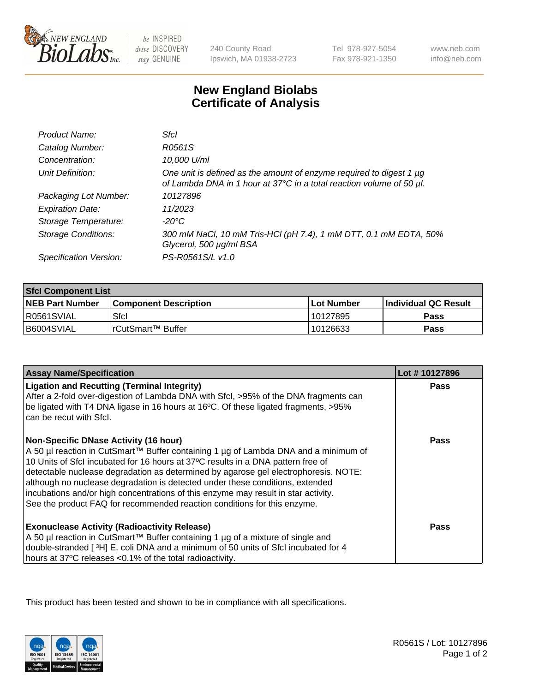

 $be$  INSPIRED drive DISCOVERY stay GENUINE

240 County Road Ipswich, MA 01938-2723 Tel 978-927-5054 Fax 978-921-1350

www.neb.com info@neb.com

## **New England Biolabs Certificate of Analysis**

| Product Name:           | Sfcl                                                                                                                                             |
|-------------------------|--------------------------------------------------------------------------------------------------------------------------------------------------|
| Catalog Number:         | R0561S                                                                                                                                           |
| Concentration:          | 10,000 U/ml                                                                                                                                      |
| Unit Definition:        | One unit is defined as the amount of enzyme required to digest 1 $\mu$ g<br>of Lambda DNA in 1 hour at 37°C in a total reaction volume of 50 µl. |
| Packaging Lot Number:   | 10127896                                                                                                                                         |
| <b>Expiration Date:</b> | 11/2023                                                                                                                                          |
| Storage Temperature:    | $-20^{\circ}$ C                                                                                                                                  |
| Storage Conditions:     | 300 mM NaCl, 10 mM Tris-HCl (pH 7.4), 1 mM DTT, 0.1 mM EDTA, 50%<br>Glycerol, 500 µg/ml BSA                                                      |
| Specification Version:  | PS-R0561S/L v1.0                                                                                                                                 |

| <b>Sfcl Component List</b> |                              |              |                             |  |
|----------------------------|------------------------------|--------------|-----------------------------|--|
| <b>NEB Part Number</b>     | <b>Component Description</b> | l Lot Number | <b>Individual QC Result</b> |  |
| R0561SVIAL                 | Sfcl                         | 10127895     | Pass                        |  |
| B6004SVIAL                 | l rCutSmart™ Buffer          | 10126633     | Pass                        |  |

| <b>Assay Name/Specification</b>                                                                                                                                                                                                                                                                                                                                                                                                                                                                                                                                   | Lot #10127896 |
|-------------------------------------------------------------------------------------------------------------------------------------------------------------------------------------------------------------------------------------------------------------------------------------------------------------------------------------------------------------------------------------------------------------------------------------------------------------------------------------------------------------------------------------------------------------------|---------------|
| <b>Ligation and Recutting (Terminal Integrity)</b><br>After a 2-fold over-digestion of Lambda DNA with Sfcl, >95% of the DNA fragments can<br>be ligated with T4 DNA ligase in 16 hours at 16°C. Of these ligated fragments, >95%<br>can be recut with Sfcl.                                                                                                                                                                                                                                                                                                      | <b>Pass</b>   |
| <b>Non-Specific DNase Activity (16 hour)</b><br>A 50 µl reaction in CutSmart™ Buffer containing 1 µg of Lambda DNA and a minimum of<br>10 Units of SfcI incubated for 16 hours at 37°C results in a DNA pattern free of<br>detectable nuclease degradation as determined by agarose gel electrophoresis. NOTE:<br>although no nuclease degradation is detected under these conditions, extended<br>incubations and/or high concentrations of this enzyme may result in star activity.<br>See the product FAQ for recommended reaction conditions for this enzyme. | Pass          |
| <b>Exonuclease Activity (Radioactivity Release)</b><br>A 50 µl reaction in CutSmart™ Buffer containing 1 µg of a mixture of single and<br>double-stranded [3H] E. coli DNA and a minimum of 50 units of Sfcl incubated for 4<br>hours at 37°C releases <0.1% of the total radioactivity.                                                                                                                                                                                                                                                                          | Pass          |

This product has been tested and shown to be in compliance with all specifications.